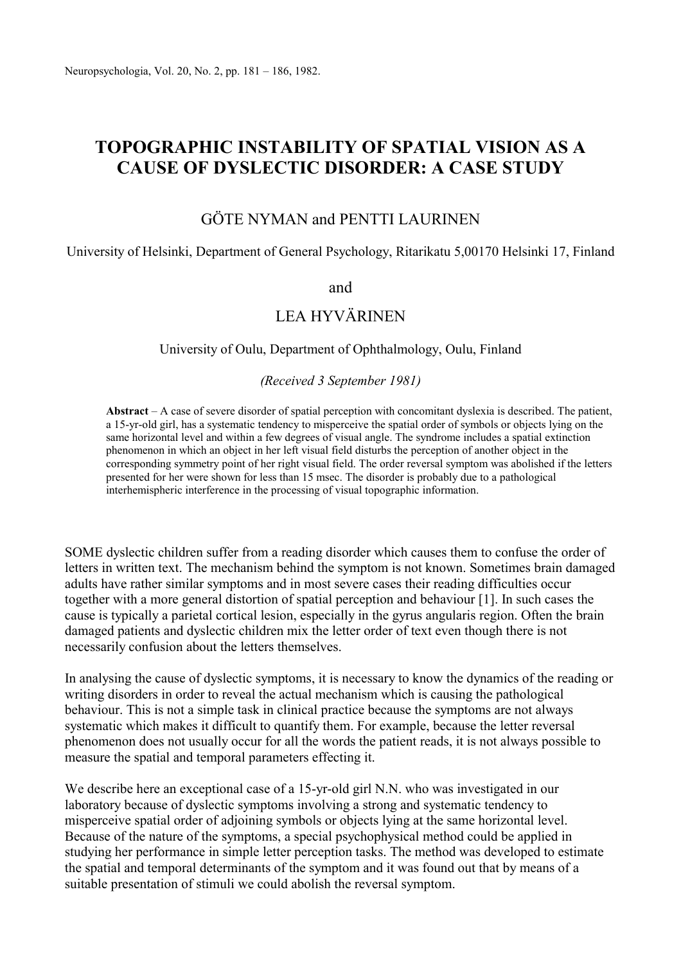# **TOPOGRAPHIC INSTABILITY OF SPATIAL VISION AS A CAUSE OF DYSLECTIC DISORDER: A CASE STUDY**

# GÖTE NYMAN and PENTTI LAURINEN

University of Helsinki, Department of General Psychology, Ritarikatu 5,00170 Helsinki 17, Finland

## and

# LEA HYVÄRINEN

## University of Oulu, Department of Ophthalmology, Oulu, Finland

## *(Received 3 September 1981)*

**Abstract** – A case of severe disorder of spatial perception with concomitant dyslexia is described. The patient, a 15-yr-old girl, has a systematic tendency to misperceive the spatial order of symbols or objects lying on the same horizontal level and within a few degrees of visual angle. The syndrome includes a spatial extinction phenomenon in which an object in her left visual field disturbs the perception of another object in the corresponding symmetry point of her right visual field. The order reversal symptom was abolished if the letters presented for her were shown for less than 15 msec. The disorder is probably due to a pathological interhemispheric interference in the processing of visual topographic information.

SOME dyslectic children suffer from a reading disorder which causes them to confuse the order of letters in written text. The mechanism behind the symptom is not known. Sometimes brain damaged adults have rather similar symptoms and in most severe cases their reading difficulties occur together with a more general distortion of spatial perception and behaviour [1]. In such cases the cause is typically a parietal cortical lesion, especially in the gyrus angularis region. Often the brain damaged patients and dyslectic children mix the letter order of text even though there is not necessarily confusion about the letters themselves.

In analysing the cause of dyslectic symptoms, it is necessary to know the dynamics of the reading or writing disorders in order to reveal the actual mechanism which is causing the pathological behaviour. This is not a simple task in clinical practice because the symptoms are not always systematic which makes it difficult to quantify them. For example, because the letter reversal phenomenon does not usually occur for all the words the patient reads, it is not always possible to measure the spatial and temporal parameters effecting it.

We describe here an exceptional case of a 15-yr-old girl N.N. who was investigated in our laboratory because of dyslectic symptoms involving a strong and systematic tendency to misperceive spatial order of adjoining symbols or objects lying at the same horizontal level. Because of the nature of the symptoms, a special psychophysical method could be applied in studying her performance in simple letter perception tasks. The method was developed to estimate the spatial and temporal determinants of the symptom and it was found out that by means of a suitable presentation of stimuli we could abolish the reversal symptom.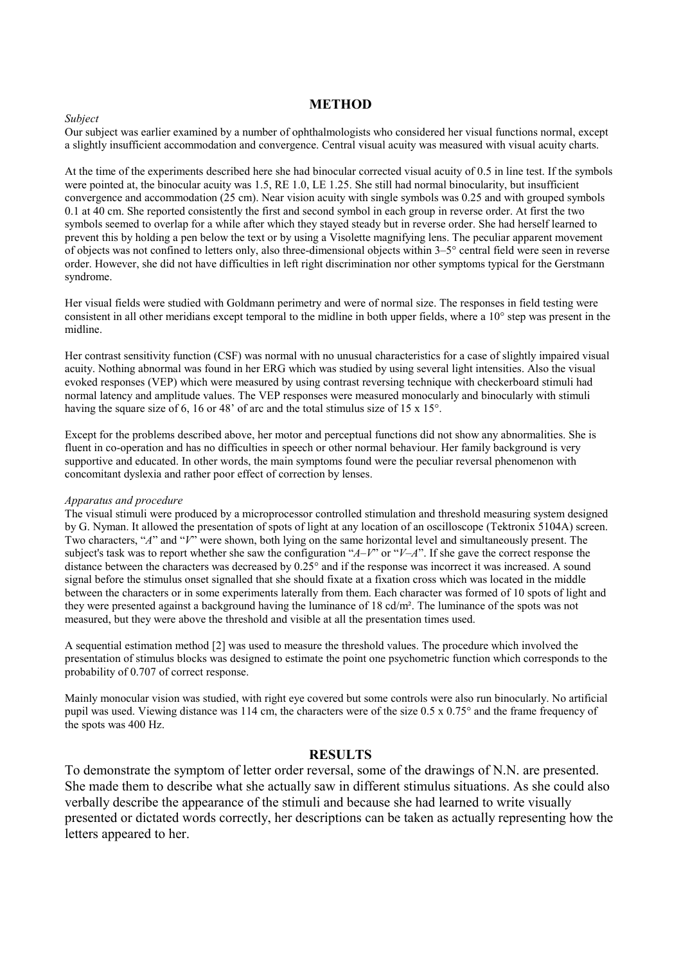### **METHOD**

#### *Subject*

Our subject was earlier examined by a number of ophthalmologists who considered her visual functions normal, except a slightly insufficient accommodation and convergence. Central visual acuity was measured with visual acuity charts.

At the time of the experiments described here she had binocular corrected visual acuity of 0.5 in line test. If the symbols were pointed at, the binocular acuity was 1.5, RE 1.0, LE 1.25. She still had normal binocularity, but insufficient convergence and accommodation (25 cm). Near vision acuity with single symbols was 0.25 and with grouped symbols 0.1 at 40 cm. She reported consistently the first and second symbol in each group in reverse order. At first the two symbols seemed to overlap for a while after which they stayed steady but in reverse order. She had herself learned to prevent this by holding a pen below the text or by using a Visolette magnifying lens. The peculiar apparent movement of objects was not confined to letters only, also three-dimensional objects within 3–5° central field were seen in reverse order. However, she did not have difficulties in left right discrimination nor other symptoms typical for the Gerstmann syndrome.

Her visual fields were studied with Goldmann perimetry and were of normal size. The responses in field testing were consistent in all other meridians except temporal to the midline in both upper fields, where a 10° step was present in the midline.

Her contrast sensitivity function (CSF) was normal with no unusual characteristics for a case of slightly impaired visual acuity. Nothing abnormal was found in her ERG which was studied by using several light intensities. Also the visual evoked responses (VEP) which were measured by using contrast reversing technique with checkerboard stimuli had normal latency and amplitude values. The VEP responses were measured monocularly and binocularly with stimuli having the square size of 6, 16 or 48' of arc and the total stimulus size of 15 x 15°.

Except for the problems described above, her motor and perceptual functions did not show any abnormalities. She is fluent in co-operation and has no difficulties in speech or other normal behaviour. Her family background is very supportive and educated. In other words, the main symptoms found were the peculiar reversal phenomenon with concomitant dyslexia and rather poor effect of correction by lenses.

#### *Apparatus and procedure*

The visual stimuli were produced by a microprocessor controlled stimulation and threshold measuring system designed by G. Nyman. It allowed the presentation of spots of light at any location of an oscilloscope (Tektronix 5104A) screen. Two characters, "*A*" and "*V*" were shown, both lying on the same horizontal level and simultaneously present. The subject's task was to report whether she saw the configuration "*A–V*" or "*V–A*". If she gave the correct response the distance between the characters was decreased by 0.25° and if the response was incorrect it was increased. A sound signal before the stimulus onset signalled that she should fixate at a fixation cross which was located in the middle between the characters or in some experiments laterally from them. Each character was formed of 10 spots of light and they were presented against a background having the luminance of 18 cd/m². The luminance of the spots was not measured, but they were above the threshold and visible at all the presentation times used.

A sequential estimation method [2] was used to measure the threshold values. The procedure which involved the presentation of stimulus blocks was designed to estimate the point one psychometric function which corresponds to the probability of 0.707 of correct response.

Mainly monocular vision was studied, with right eye covered but some controls were also run binocularly. No artificial pupil was used. Viewing distance was 114 cm, the characters were of the size 0.5 x 0.75° and the frame frequency of the spots was 400 Hz.

#### **RESULTS**

To demonstrate the symptom of letter order reversal, some of the drawings of N.N. are presented. She made them to describe what she actually saw in different stimulus situations. As she could also verbally describe the appearance of the stimuli and because she had learned to write visually presented or dictated words correctly, her descriptions can be taken as actually representing how the letters appeared to her.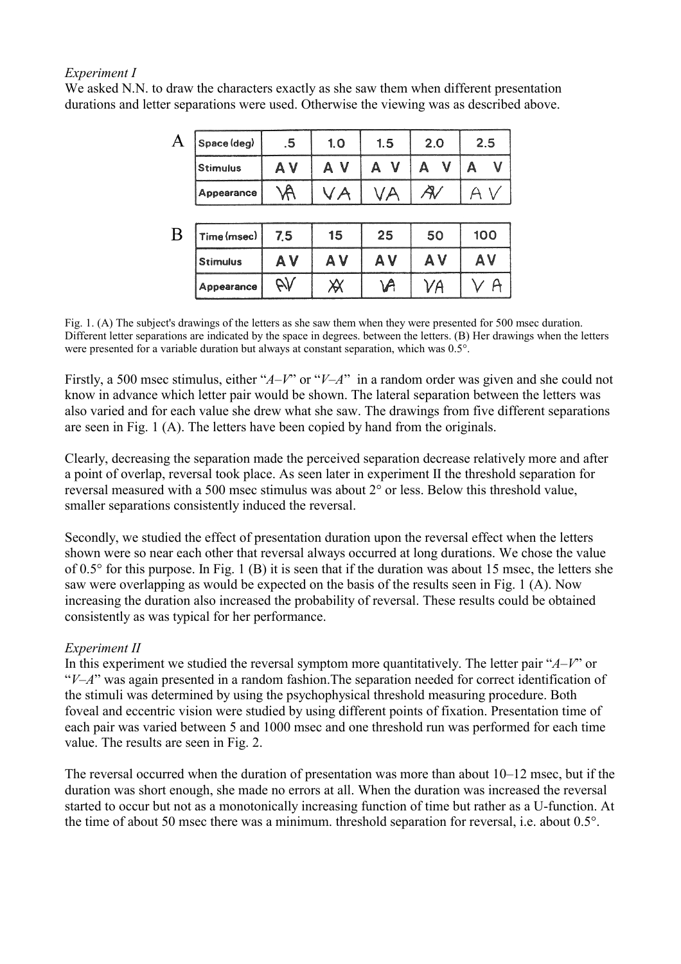# *Experiment I*

We asked N.N. to draw the characters exactly as she saw them when different presentation durations and letter separations were used. Otherwise the viewing was as described above.

| A | Space (deg)     | .5        | 1.0 | 1.5       | 2.0               | 2.5    |
|---|-----------------|-----------|-----|-----------|-------------------|--------|
|   | <b>Stimulus</b> | AV        | A V | A V       | $\mathsf{V}$<br>А | Α<br>V |
|   | Appearance      |           | VA  | VА        |                   |        |
|   |                 |           |     |           |                   |        |
| B | Time (msec)     | 7.5       | 15  | 25        | 50                | 100    |
|   | <b>Stimulus</b> | <b>AV</b> | A V | <b>AV</b> | <b>AV</b>         | AV     |
|   | Appearance      | Ю         | ₩   | YA        | $\sqrt{A}$        |        |

Fig. 1. (A) The subject's drawings of the letters as she saw them when they were presented for 500 msec duration. Different letter separations are indicated by the space in degrees. between the letters. (B) Her drawings when the letters were presented for a variable duration but always at constant separation, which was 0.5°.

Firstly, a 500 msec stimulus, either "*A–V*" or "*V–A*" in a random order was given and she could not know in advance which letter pair would be shown. The lateral separation between the letters was also varied and for each value she drew what she saw. The drawings from five different separations are seen in Fig. 1 (A). The letters have been copied by hand from the originals.

Clearly, decreasing the separation made the perceived separation decrease relatively more and after a point of overlap, reversal took place. As seen later in experiment II the threshold separation for reversal measured with a 500 msec stimulus was about 2° or less. Below this threshold value, smaller separations consistently induced the reversal.

Secondly, we studied the effect of presentation duration upon the reversal effect when the letters shown were so near each other that reversal always occurred at long durations. We chose the value of 0.5° for this purpose. In Fig. 1 (B) it is seen that if the duration was about 15 msec, the letters she saw were overlapping as would be expected on the basis of the results seen in Fig. 1 (A). Now increasing the duration also increased the probability of reversal. These results could be obtained consistently as was typical for her performance.

# *Experiment II*

In this experiment we studied the reversal symptom more quantitatively. The letter pair "*A–V*" or "*V–A*" was again presented in a random fashion.The separation needed for correct identification of the stimuli was determined by using the psychophysical threshold measuring procedure. Both foveal and eccentric vision were studied by using different points of fixation. Presentation time of each pair was varied between 5 and 1000 msec and one threshold run was performed for each time value. The results are seen in Fig. 2.

The reversal occurred when the duration of presentation was more than about 10–12 msec, but if the duration was short enough, she made no errors at all. When the duration was increased the reversal started to occur but not as a monotonically increasing function of time but rather as a U-function. At the time of about 50 msec there was a minimum. threshold separation for reversal, i.e. about 0.5°.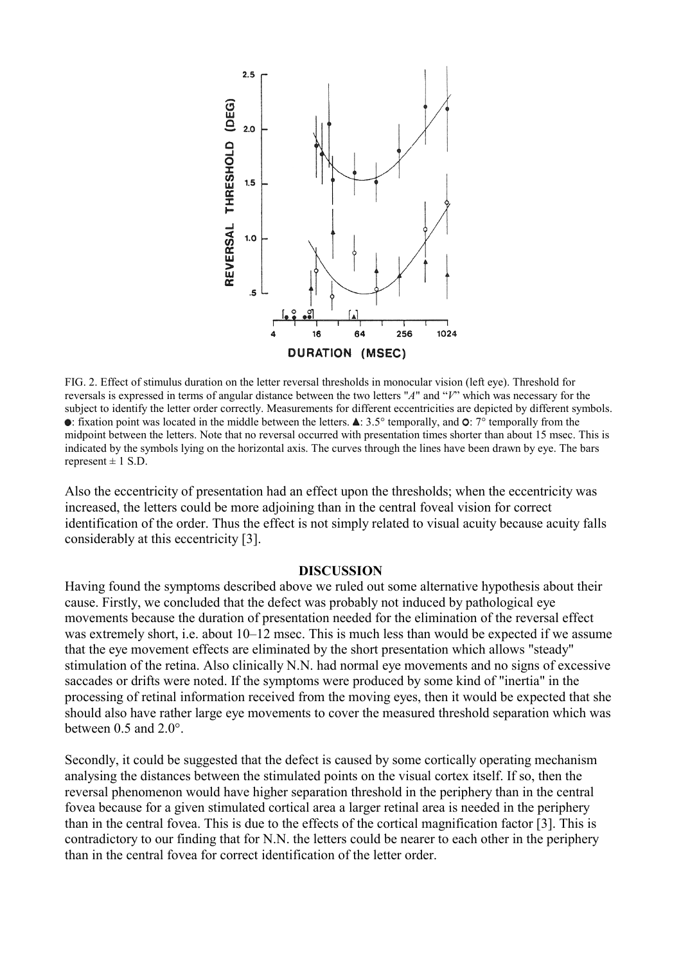

FIG. 2. Effect of stimulus duration on the letter reversal thresholds in monocular vision (left eye). Threshold for reversals is expressed in terms of angular distance between the two letters "*A*" and "*V*" which was necessary for the subject to identify the letter order correctly. Measurements for different eccentricities are depicted by different symbols. •: fixation point was located in the middle between the letters. A: 3.5° temporally, and  $\bullet$ : 7° temporally from the midpoint between the letters. Note that no reversal occurred with presentation times shorter than about 15 msec. This is indicated by the symbols lying on the horizontal axis. The curves through the lines have been drawn by eye. The bars represent  $\pm$  1 S.D.

Also the eccentricity of presentation had an effect upon the thresholds; when the eccentricity was increased, the letters could be more adjoining than in the central foveal vision for correct identification of the order. Thus the effect is not simply related to visual acuity because acuity falls considerably at this eccentricity [3].

### **DISCUSSION**

Having found the symptoms described above we ruled out some alternative hypothesis about their cause. Firstly, we concluded that the defect was probably not induced by pathological eye movements because the duration of presentation needed for the elimination of the reversal effect was extremely short, i.e. about 10–12 msec. This is much less than would be expected if we assume that the eye movement effects are eliminated by the short presentation which allows "steady" stimulation of the retina. Also clinically N.N. had normal eye movements and no signs of excessive saccades or drifts were noted. If the symptoms were produced by some kind of "inertia" in the processing of retinal information received from the moving eyes, then it would be expected that she should also have rather large eye movements to cover the measured threshold separation which was between 0.5 and 2.0°.

Secondly, it could be suggested that the defect is caused by some cortically operating mechanism analysing the distances between the stimulated points on the visual cortex itself. If so, then the reversal phenomenon would have higher separation threshold in the periphery than in the central fovea because for a given stimulated cortical area a larger retinal area is needed in the periphery than in the central fovea. This is due to the effects of the cortical magnification factor [3]. This is contradictory to our finding that for N.N. the letters could be nearer to each other in the periphery than in the central fovea for correct identification of the letter order.